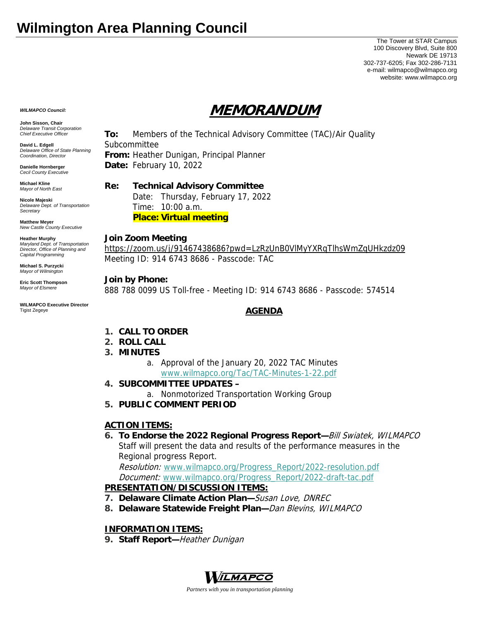## **Wilmington Area Planning Council**

The Tower at STAR Campus 100 Discovery Blvd, Suite 800 Newark DE 19713 302-737-6205; Fax 302-286-7131 e-mail: wilmapco@wilmapco.org website: www.wilmapco.org

*WILMAPCO Council:*

**John Sisson, Chair**  *Delaware Transit Corporation Chief Executive Officer*

**David L. Edgell**  *Delaware Office of State Planning Coordination, Director*

**Danielle Hornberger** *Cecil County Executive* 

**Michael Kline**  *Mayor of North East* 

**Nicole Majeski**  *Delaware Dept. of Transportation Secretary*

**Matthew Meyer**  *New Castle County Executive* 

**Heather Murphy**  *Maryland Dept. of Transportation Director, Office of Planning and Capital Programming* 

**Michael S. Purzycki**  *Mayor of Wilmington*

**Eric Scott Thompson**  *Mayor of Elsmere* 

**WILMAPCO Executive Director**  Tigist Zegeye

# **MEMORANDUM**

**To:** Members of the Technical Advisory Committee (TAC)/Air Quality Subcommittee **From:** Heather Dunigan, Principal Planner

**Date:** February 10, 2022

### **Re: Technical Advisory Committee**

 Date: Thursday, February 17, 2022 Time: 10:00 a.m. **Place: Virtual meeting**

#### **Join Zoom Meeting**

https://zoom.us/j/91467438686?pwd=LzRzUnB0VlMyYXRqTlhsWmZqUHkzdz09 Meeting ID: 914 6743 8686 - Passcode: TAC

#### **Join by Phone:**

888 788 0099 US Toll-free - Meeting ID: 914 6743 8686 - Passcode: 574514

#### **AGENDA**

- **1. CALL TO ORDER**
- **2. ROLL CALL**
- **3. MINUTES**
	- a. Approval of the January 20, 2022 TAC Minutes www.wilmapco.org/Tac/TAC-Minutes-1-22.pdf
- **4. SUBCOMMITTEE UPDATES** 
	- a. Nonmotorized Transportation Working Group
- **5. PUBLIC COMMENT PERIOD**

#### **ACTION ITEMS:**

**6. To Endorse the 2022 Regional Progress Report—**Bill Swiatek, WILMAPCO Staff will present the data and results of the performance measures in the Regional progress Report.

Resolution: www.wilmapco.org/Progress\_Report/2022-resolution.pdf Document: www.wilmapco.org/Progress\_Report/2022-draft-tac.pdf **PRESENTATION/DISCUSSION ITEMS:**

- **7. Delaware Climate Action Plan—**Susan Love, DNREC
- **8. Delaware Statewide Freight Plan—**Dan Blevins, WILMAPCO

#### **INFORMATION ITEMS:**

**9. Staff Report—**Heather Dunigan



*Partners with you in transportation planning*